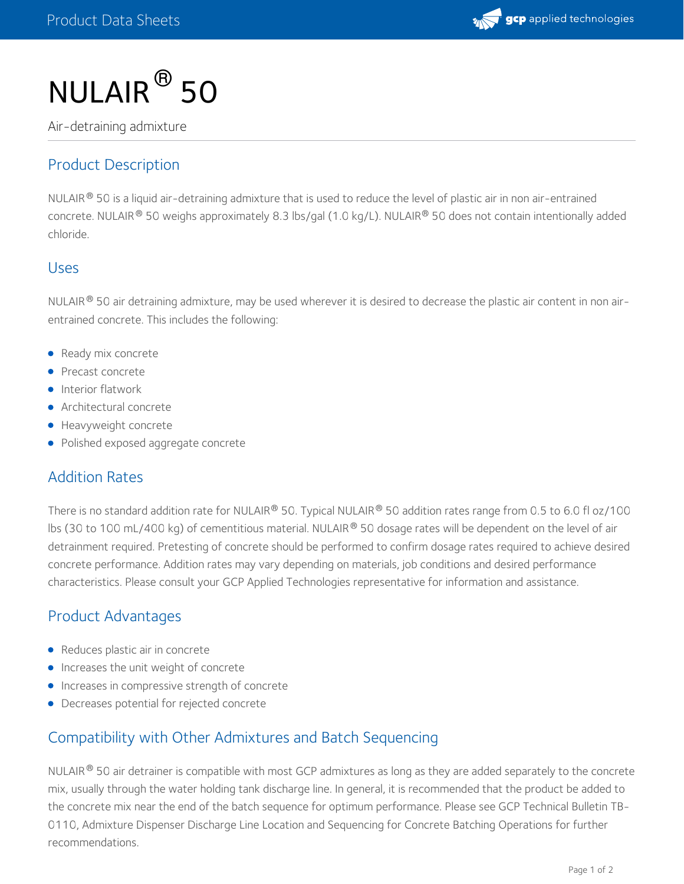

# $NULAIR<sup>®</sup>$  50

Air-detraining admixture

# Product Description

<code>NULAIR®</code> 50 is a liquid air-detraining admixture that is used to reduce the level of plastic air in non air-entrained concrete. NULAIR® 50 weighs approximately 8.3 lbs/gal (1.0 kg/L). NULAIR® 50 does not contain intentionally added chloride.

#### Uses

NULAIR  $^\circ$  50 air detraining admixture, may be used wherever it is desired to decrease the plastic air content in non airentrained concrete. This includes the following:

- Ready mix concrete
- Precast concrete
- **Interior flatwork**
- Architectural concrete
- **•** Heavyweight concrete
- Polished exposed aggregate concrete

### Addition Rates

There is no standard addition rate for NULAIR® 50. Typical NULAIR® 50 addition rates range from 0.5 to 6.0 fl oz/100 lbs (30 to 100 mL/400 kg) of cementitious material. NULAIR  $^\circ$  50 dosage rates will be dependent on the level of air detrainment required. Pretesting of concrete should be performed to confirm dosage rates required to achieve desired concrete performance. Addition rates may vary depending on materials, job conditions and desired performance characteristics. Please consult your GCP Applied Technologies representative for information and assistance.

### Product Advantages

- Reduces plastic air in concrete
- Increases the unit weight of concrete
- **Increases in compressive strength of concrete**
- Decreases potential for rejected concrete

### Compatibility with Other Admixtures and Batch Sequencing

NULAIR  $^\circ$  50 air detrainer is compatible with most GCP admixtures as long as they are added separately to the concrete mix, usually through the water holding tank discharge line. In general, it is recommended that the product be added to the concrete mix near the end of the batch sequence for optimum [performance.](https://gcpat.com/solutions/products/adva-high-range-water-reducers/tb-0110-admixture-dispenser-discharge-line) Please see GCP Technical Bulletin TB- 0110, Admixture Dispenser Discharge Line Location and Sequencing for Concrete Batching Operations for further recommendations.